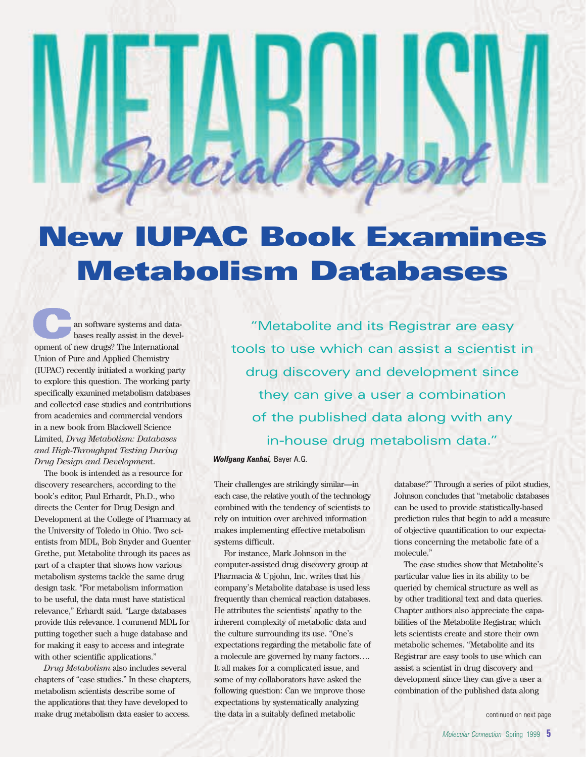# **New IUPAC Book Examines Metabolism Databases**

<span id="page-0-0"></span>[an](#page-0-0) software systems and databases really assist in the development of new drugs? The International Union of Pure and Applied Chemistry (IUPAC) recently initiated a working party to explore this question. The working party specifically examined metabolism databases and collected case studies and contributions from academics and commercial vendors in a new book from Blackwell Science Limited, *Drug Metabolism: Databases and High-Throughput Testing During Drug Design and Developmen*t.

The book is intended as a resource for discovery researchers, according to the book's editor, Paul Erhardt, Ph.D., who directs the Center for Drug Design and Development at the College of Pharmacy at the University of Toledo in Ohio. Two scientists from MDL, Bob Snyder and Guenter Grethe, put Metabolite through its paces as part of a chapter that shows how various metabolism systems tackle the same drug design task. "For metabolism information to be useful, the data must have statistical relevance," Erhardt said. "Large databases provide this relevance. I commend MDL for putting together such a huge database and for making it easy to access and integrate with other scientific applications."

*Drug Metabolism* also includes several chapters of "case studies." In these chapters, metabolism scientists describe some of the applications that they have developed to make drug metabolism data easier to access.

"Metabolite and its Registrar are easy tools to use which can assist a scientist in drug discovery and development since they can give a user a combination of the published data along with any in-house drug metabolism data."

*Wolfgang Kanhai,* Bayer A.G.

Their challenges are strikingly similar—in each case, the relative youth of the technology combined with the tendency of scientists to rely on intuition over archived information makes implementing effective metabolism systems difficult.

For instance, Mark Johnson in the computer-assisted drug discovery group at Pharmacia & Upjohn, Inc. writes that his company's Metabolite database is used less frequently than chemical reaction databases. He attributes the scientists' apathy to the inherent complexity of metabolic data and the culture surrounding its use. "One's expectations regarding the metabolic fate of a molecule are governed by many factors…. It all makes for a complicated issue, and some of my collaborators have asked the following question: Can we improve those expectations by systematically analyzing the data in a suitably defined metabolic

database?" Through a series of pilot studies, Johnson concludes that "metabolic databases can be used to provide statistically-based prediction rules that begin to add a measure of objective quantification to our expectations concerning the metabolic fate of a molecule."

The case studies show that Metabolite's particular value lies in its ability to be queried by chemical structure as well as by other traditional text and data queries. Chapter authors also appreciate the capabilities of the Metabolite Registrar, which lets scientists create and store their own metabolic schemes. "Metabolite and its Registrar are easy tools to use which can assist a scientist in drug discovery and development since they can give a user a combination of the published data along

[continued on next page](#page-1-0)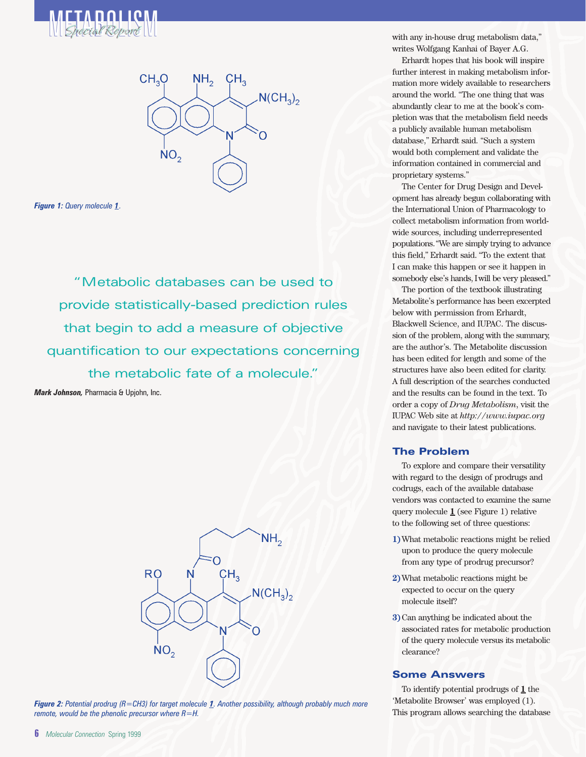<span id="page-1-3"></span><span id="page-1-1"></span><span id="page-1-0"></span>



*Figure 1: [Query molecule](#page-1-1) 1.*

"Metabolic databases can be used to provide statistically-based prediction rules that begin to add a measure of objective quantification to our expectations concerning the metabolic fate of a molecule."

<span id="page-1-2"></span>*Mark Johnson,* Pharmacia & Upjohn, Inc.





[writes Wolfgang](#page-1-3) Kanhai of Bayer A.G.

Erhardt hopes that his book will inspire further interest in making metabolism information more widely available to researchers around the world. "The one thing that was abundantly clear to me at the book's completion was that the metabolism field needs a publicly available human metabolism database," Erhardt said. "Such a system would both complement and validate the information contained in commercial and proprietary systems."

The Center for Drug Design and Development has already begun collaborating with the International Union of Pharmacology to collect metabolism information from worldwide sources, including underrepresented populations."We are simply trying to advance this field," Erhardt said. "To the extent that I can make this happen or see it happen in somebody else's hands, I will be very pleased."

The portion of the textbook illustrating Metabolite's performance has been excerpted below with permission from Erhardt, Blackwell Science, and IUPAC. The discussion of the problem, along with the summary, are the author's. The Metabolite discussion has been edited for length and some of the structures have also been edited for clarity. A full description of the searches conducted and the results can be found in the text. To order a copy of *Drug Metabolism*, visit the IUPAC Web site at *http://www.iupac.org* and navigate to their latest publications.

# **The Problem**

To explore and compare their versatility with regard to the design of prodrugs and codrugs, each of the available database vendors was contacted to examine the same query molecule **1** (see Figure 1) relative to the following set of three questions:

- **1)**What metabolic reactions might be relied upon to produce the query molecule from any type of prodrug precursor?
- **2)**What metabolic reactions might be expected to occur on the query molecule itself?
- **3)**Can anything be indicated about the associated rates for metabolic production of the query molecule versus its metabolic clearance?

## **Some Answers**

To identify potential prodrugs of **1** the 'Metabolite Browser' was employed (1). This program allows searching the database